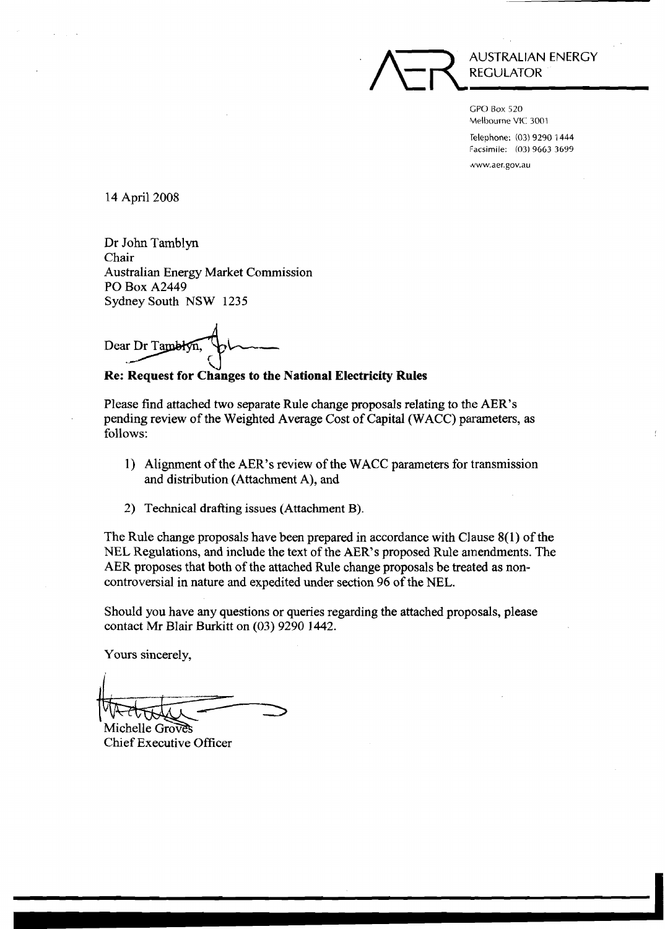

GPO Box 520 ~Melbourne VIC 3001 Telephone: (03) 9290 1444 **Facsimile: (03) 9663 3699**  www.aer.gov.au

14 April 2008

Dr John Tamblyn Chair Australian Energy Market Commission PO Box A2449 Sydney South NSW 1235

Dear Dr Tamblyn.

**W Re: Request for Changes to the National Electricity Rules** 

Please find attached two separate Rule change proposals relating to the AER's pending review of the Weighted Average Cost of Capital (WACC) parameters, as follows:

- 1) Alignment of the AER's review of the WACC parameters for transmission and distribution (Attachment A), and
- 2) Technical drafting issues (Attachment B).

The Rule change proposals have been prepared in accordance with Clause 8(1) of the NEL Regulations, and include the text of the AER's proposed Rule amendments. The AER proposes that both of the attached Rule change proposals be treated as noncontroversial in nature and expedited under section 96 of the NEL.

Should you have any questions or queries regarding the attached proposals, please contact Mr Blair Burkitt on (03) 9290 1442.

Yours sincerely,

Michelle Groves Chief Executive Officer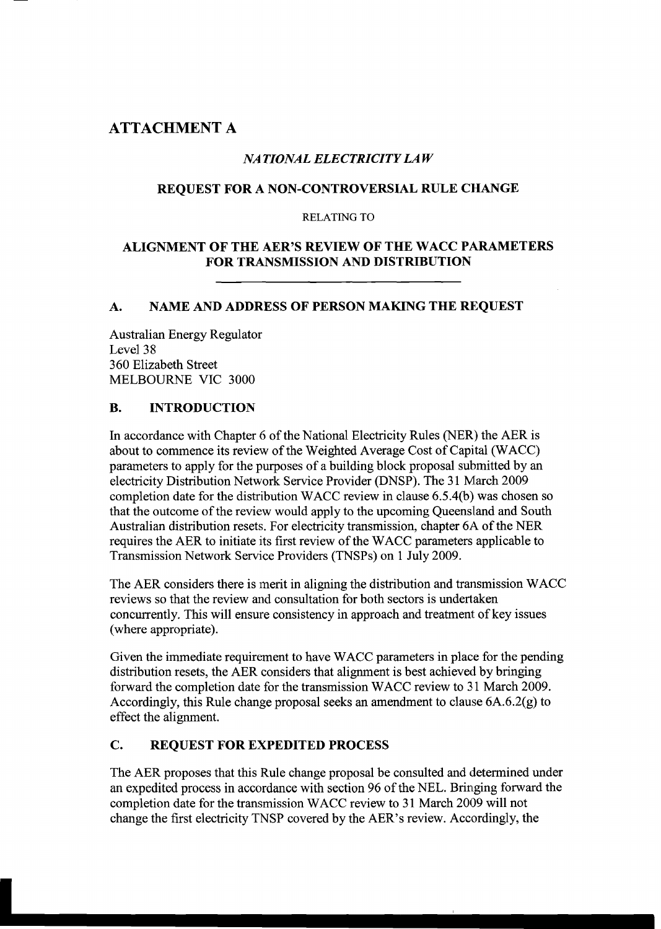# **ATTACHMENT A**

# *NATIONAL ELECTRICITY LAW*

# **REQUEST FOR A NON-CONTROVERSIAL RULE CHANGE**

## **RELATING** TO

## **ALIGNMENT OF THE AER'S REVIEW OF THE WACC PARAMETERS FOR TRANSMISSION AND DISTRIBUTION**

# **A. NAME AND ADDRESS OF PERSON MAKING THE REQUEST**

Australian Energy Regulator Level 38 360 Elizabeth Street MELBOURNE VIC 3000

# **B. INTRODUCTION**

In accordance with Chapter 6 of the National Electricity Rules (NER) the AER is about to commence its review of the Weighted Average Cost of Capital (WACC) parameters to apply for the purposes of a building block proposal submitted by an electricity Distribution Network Service Provider (DNSP). The 31 March 2009 completion date for the distribution WACC review in clause 6.5.4(b) was chosen so that the outcome of the review would apply to the upcoming Queensland and South Australian distribution resets. For electricity transmission, chapter **6A** of the NER requires the AER to initiate its first review of the WACC parameters applicable to Transmission Network Service Providers (TNSPs) on 1 July 2009.

The AER considers there is merit in aligning the distribution and transmission WACC reviews so that the review and consultation for both sectors is undertaken concurrently. This will ensure consistency in approach and treatment of key issues (where appropriate).

Given the immediate requirement to have WACC parameters in place for the pending distribution resets, the AER considers that alignment is best achieved by bringing forward the completion date for the transmission WACC review to 31 March 2009. Accordingly, this Rule change proposal seeks an amendment to clause 6A.6.2(g) to effect the alignment.

# **C. REQUEST FOR EXPEDITED PROCESS**

The AER proposes that this Rule change proposal be consulted and determined under an expedited process in accordance with section 96 of the NEL. Bringing forward the completion date for the transmission WACC review to 31 March 2009 will not change the first electricity TNSP covered by the AER's review. Accordingly, the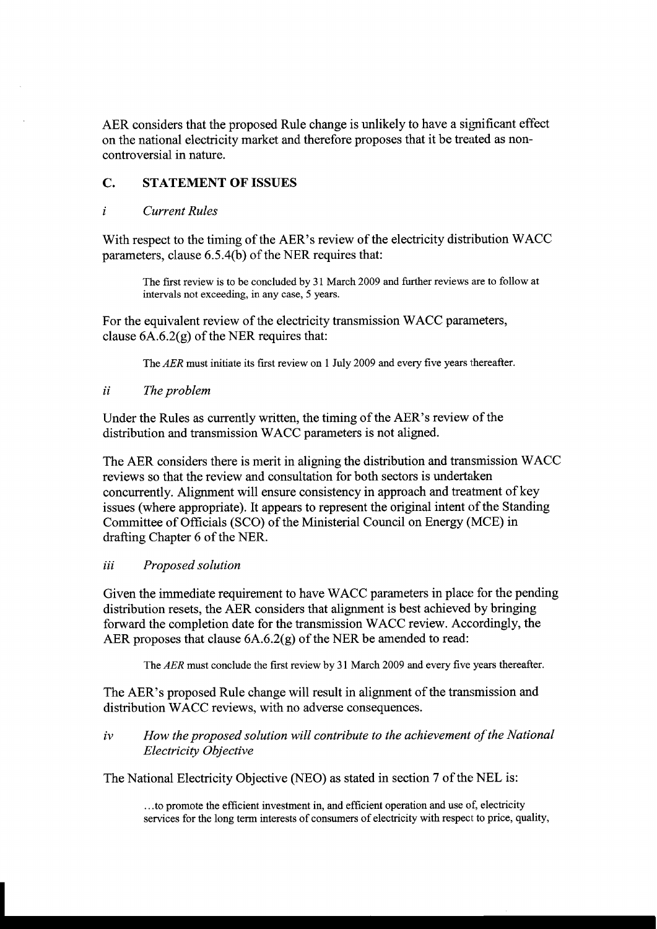AER considers that the proposed Rule change is unlikely to have a significant effect on the national electricity market and therefore proposes that it be treated as noncontroversial in nature.

## **C. STATEMENT OF ISSUES**

### *i Current Rules*

With respect to the timing of the AER's review of the electricity distribution WACC parameters, clause 6.5.4(b) of the NER requires that:

The fist review is to be concluded by **3** 1 March 2009 and further reviews are to follow at intervals not exceeding, in any case, 5 years.

For the equivalent review of the electricity transmission WACC parameters, clause  $6A.6.2(g)$  of the NER requires that:

The *AER* must initiate its first review on 1 July 2009 and every five years thereafter.

#### *ii The problem*

Under the Rules as currently written, the timing of the AER's review of the distribution and transmission WACC parameters is not aligned.

The AER considers there is merit in aligning the distribution and transmission WACC reviews so that the review and consultation for both sectors is undertaken concurrently. Alignment will ensure consistency in approach and treatment of key issues (where appropriate). It appears to represent the original intent of the Standing Committee of Officials (SCO) of the Ministerial Council on Energy (MCE) in drafting Chapter 6 of the NER.

#### *iii Proposed solution*

Given the immediate requirement to have WACC parameters in place for the pending distribution resets, the AER considers that alignment is best achieved by bringing forward the completion date for the transmission WACC review. Accordingly, the AER proposes that clause 6A.6.2(g) of the NER be amended to read:

The *AER* must conclude the first review by 31 March 2009 and every five years thereafter.

The AER's proposed Rule change will result in alignment of the transmission and distribution WACC reviews, with no adverse consequences.

### *iv How the proposed solution will contribute to the achievement of the National Electricity Objective*

The National Electricity Objective (NEO) as stated in section 7 of the NEL is:

. . .to promote the efficient investment in, and efficient operation and use of, electricity services for the long term interests of consumers of electricity with respect to price, quality,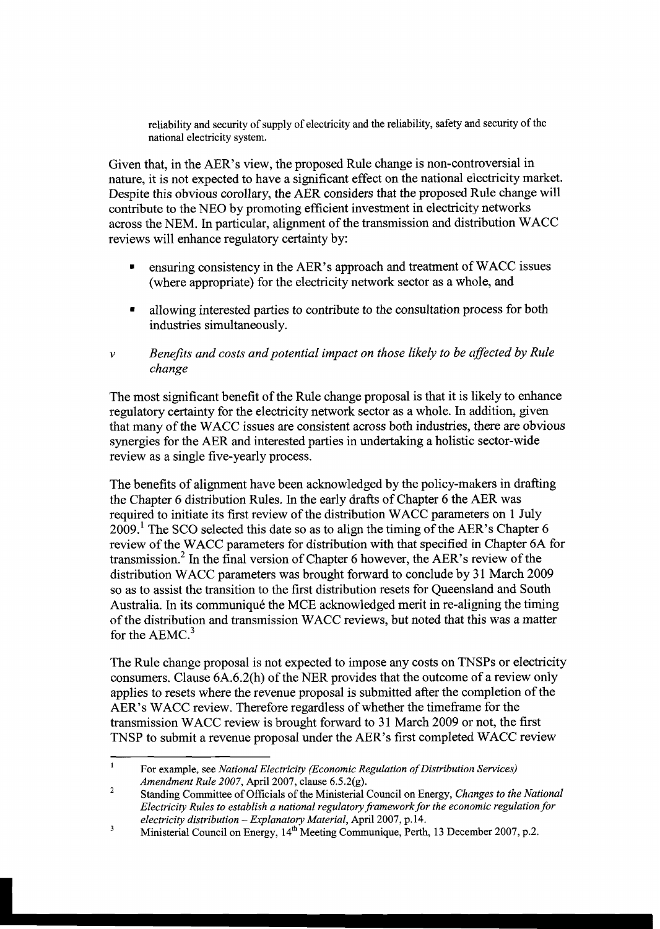reliability and security of supply of electricity and the reliability, safety and security of the national electricity system.

Given that, in the AER's view, the proposed Rule change is non-controversial in nature, it is not expected to have a significant effect on the national electricity market. Despite this obvious corollary, the AER considers that the proposed Rule change will contribute to the NEO by promoting efficient investment in electricity networks across the NEM. In particular, alignment of the transmission and distribution WACC reviews will enhance regulatory certainty by:

- ensuring consistency in the AER's approach and treatment of WACC issues (where appropriate) for the electricity network sector as a whole, and
- allowing interested parties to contribute to the consultation process for both industries simultaneously.
- *v* Benefits and costs and potential impact on those likely to be affected by Rule *change*

The most significant benefit of the Rule change proposal is that it is likely to enhance regulatory certainty for the electricity network sector as a whole. In addition, given that many of the WACC issues are consistent across both industries, there are obvious synergies for the AER and interested parties in undertaking a holistic sector-wide review as a single five-yearly process.

The benefits of alignment have been acknowledged by the policy-makers in drafting the Chapter 6 distribution Rules. In the early drafts of Chapter 6 the AER was required to initiate its first review of the distribution WACC parameters on 1 July  $2009<sup>1</sup>$ . The SCO selected this date so as to align the timing of the AER's Chapter 6 review of the WACC parameters for distribution with that specified in Chapter **6A** for transmission.<sup>2</sup> In the final version of Chapter 6 however, the AER's review of the distribution WACC parameters was brought forward to conclude by 31 March 2009 so as to assist the transition to the first distribution resets for Queensland and South Australia. In its communiqué the MCE acknowledged merit in re-aligning the timing of the distribution and transmission WACC reviews, but noted that this was a matter for the  $AEMC<sup>3</sup>$ 

The Rule change proposal is not expected to impose any costs on TNSPs or electricity consumers. Clause 6A.6.2(h) of the NER provides that the outcome of a review only applies to resets where the revenue proposal is submitted after the completion of the AER's WACC review. Therefore regardless of whether the timeframe for the transmission WACC review is brought forward to 3 1 March 2009 or not, the first TNSP to submit a revenue proposal under the AER's first completed WACC review

 $\mathbf{1}$ For example, see *National Electricity (Economic Regulation of Distribution Services) Amendment Rule 2007,* April 2007, clause 6.5.2(g).

 $\sqrt{2}$ Standing Committee of Officials of the Ministerial Council on Energy, *Changes to the National Electricity Rules to establish a national regulatory framework for the economic regulation for electricity distribution* - *Explanatory Material,* April 2007, p. 14.

 $\overline{\mathbf{3}}$ Ministerial Council on Energy, 14<sup>th</sup> Meeting Communique, Perth, 13 December 2007, p.2.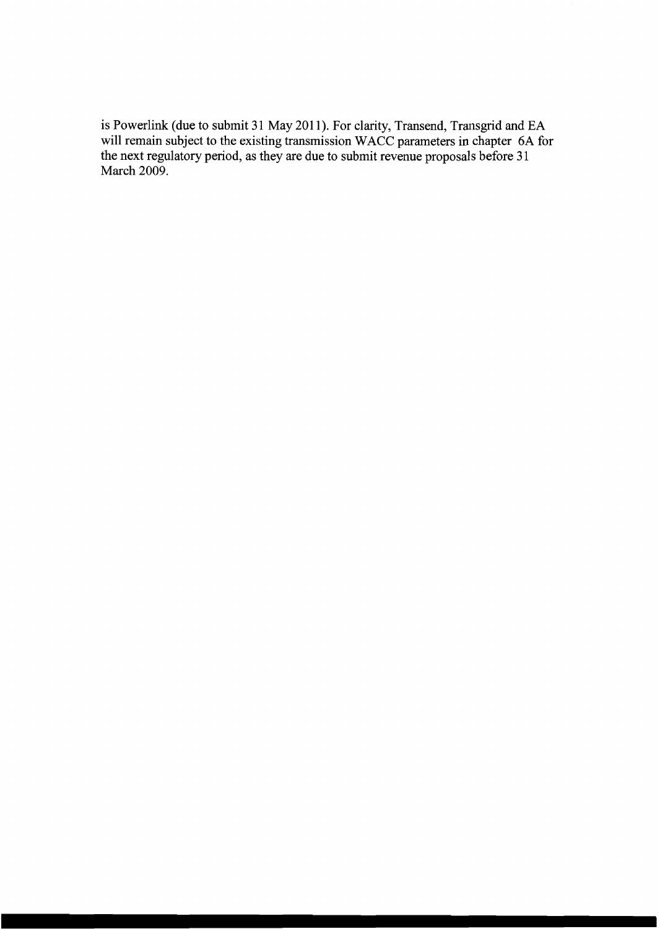is Powerlink (due to submit 31 May 2011). For clarity, Transend, Transgrid and EA will remain subject to the existing transmission WACC parameters in chapter 6A for the next regulatory period, as they are due to submit revenue proposals before 3 1 March 2009.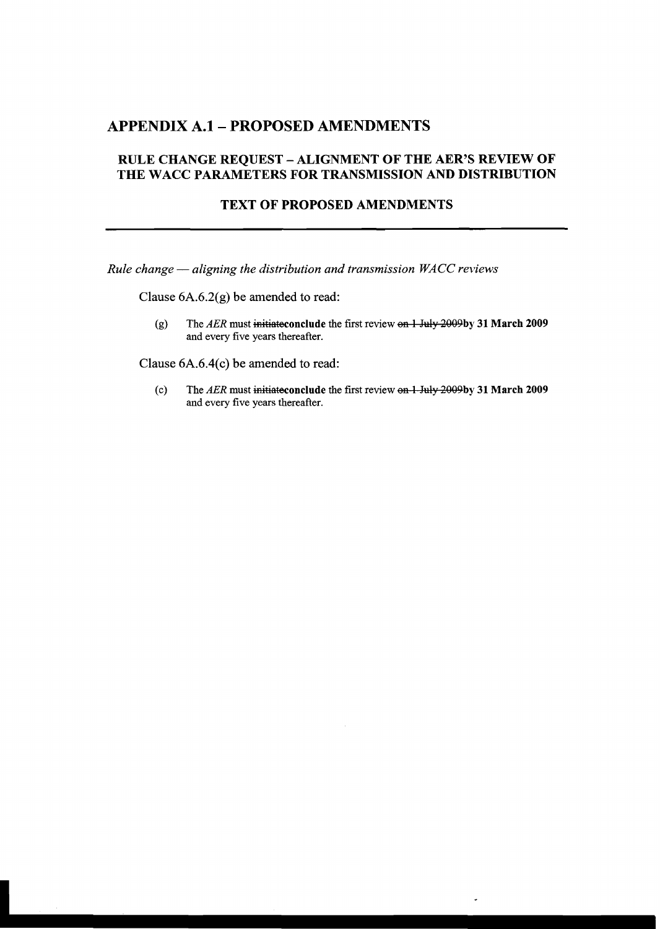# **APPENDIX A.1- PROPOSED AMENDMENTS**

## **RULE CHANGE REQUEST** - **ALIGNMENT OF THE AER'S REVIEW OF THE WACC PARAMETERS FOR TRANSMISSION AND DISTRIBUTION**

#### **TEXT OF PROPOSED AMENDMENTS**

*Rule change* - *aligning the distribution and transmission WACC reviews* 

Clause **6A.6.2(g)** be amended to read:

(g) The AER must initiate conclude the first review on 1 July 2009by 31 March 2009 **and** every five years thereafter.

Clause **6A.6.4(c)** be amended to read:

(c) The *AER* must initiate conclude the first review on 1 July 2009by 31 March 2009 **and** every five years thereafter.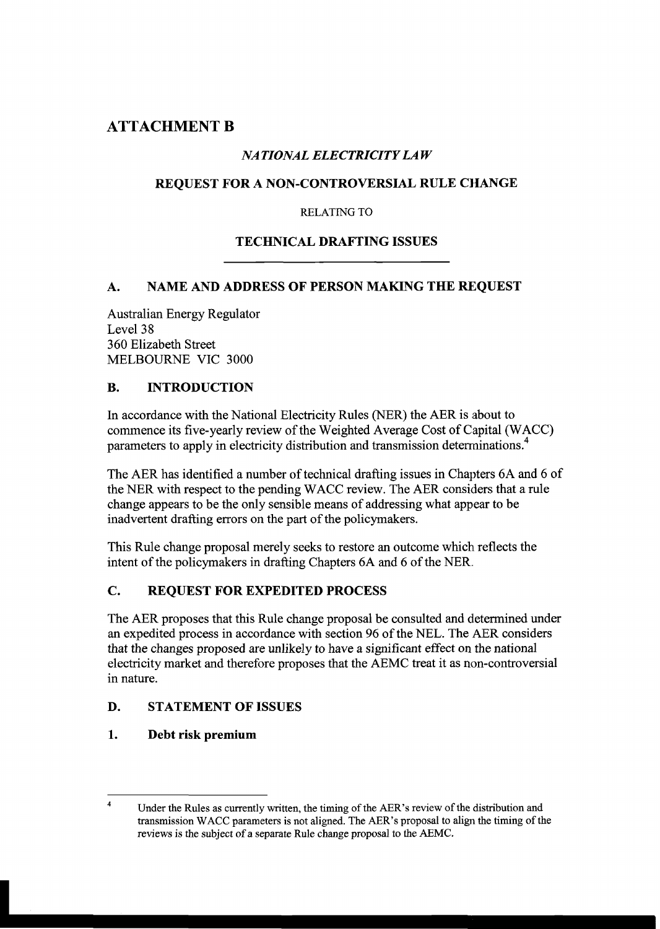# **ATTACHMENT B**

## **NATIONAL ELECTRICITY LAW**

## **REQUEST FOR A NON-CONTROVERSIAL RULE CHANGE**

RELATING **TO** 

## **TECHNICAL DRAFTING ISSUES**

### **A. NAME AND ADDRESS OF PERSON MAKING THE REQUEST**

Australian Energy Regulator Level 38 360 Elizabeth Street MELBOURNE VIC 3000

### **B. INTRODUCTION**

In accordance with the National Electricity Rules (NER) the AER is about to commence its five-yearly review of the Weighted Average Cost of Capital (WACC) parameters to apply in electricity distribution and transmission determinations.<sup>4</sup>

The AER has identified a number of technical drafting issues in Chapters 6A and *6* of the NER with respect to the pending WACC review. The AER considers that a rule change appears to be the only sensible means of addressing what appear to be inadvertent drafting errors on the part of the policymakers.

This Rule change proposal merely seeks to restore an outcome which reflects the intent of the policymakers in drafting Chapters 6A and 6 of the NER.

## **C. REQUEST FOR EXPEDITED PROCESS**

The AER proposes that this Rule change proposal be consulted and determined under an expedited process in accordance with section 96 of the NEL. The AER considers that the changes proposed are unlikely to have a significant effect on the national electricity market and therefore proposes that the AEMC treat it as non-controversial in nature.

## **D. STATEMENT OF ISSUES**

## **1. Debt risk premium**

<sup>&</sup>lt;sup>4</sup>Under the Rules as currently written, the timing of the AER's review of the distribution and transmission WACC parameters is not aligned. The AER's proposal to align the timing of the reviews is the subject of **a** separate Rule change proposal to the AEMC.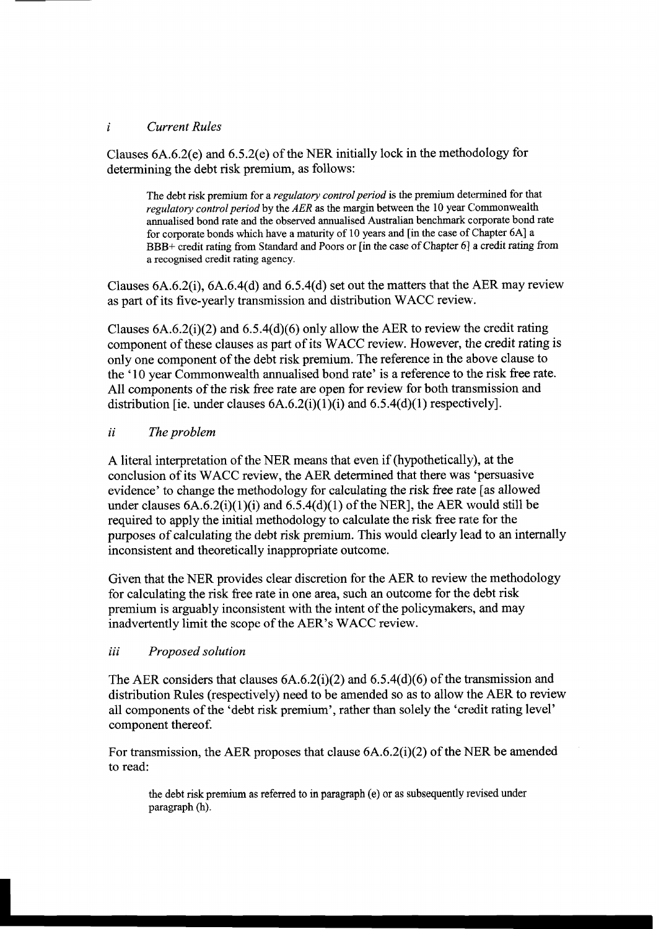#### *i Current Rules*

Clauses 6A.6.2(e) and 6.5.2(e) of the NER initially lock in the methodology for determining the debt risk premium, as follows:

The debt risk premium for a *regulatory control period* is the premium determined for that *regulatory control period* by the *AER* as the margin between the 10 year Commonwealth annualised bond rate and the observed annualised Australian benchmark corporate bond rate for corporate bonds which have a maturity of 10 years and [in the case of Chapter **6A]** a BBB+ credit rating fiom Standard and Poors or [in the case of Chapter **61** a credit rating fiom a recognised credit rating agency.

Clauses 6A.6.2(i), 6A.6.4(d) and 6.5.4(d) set out the matters that the AER may review as part of its five-yearly transmission and distribution WACC review.

Clauses  $6A.6.2(i)(2)$  and  $6.5.4(d)(6)$  only allow the AER to review the credit rating component of these clauses as part of its WACC review. However, the credit rating is only one component of the debt risk premium. The reference in the above clause to the '10 year Commonwealth annualised bond rate' is a reference to the risk free rate. All components of the risk free rate are open for review for both transmission and distribution [ie. under clauses  $6A.6.2(i)(1)(i)$  and  $6.5.4(d)(1)$  respectively].

#### *ii The problem*

A literal interpretation of the NER means that even if (hypothetically), at the conclusion of its WACC review, the AER determined that there was 'persuasive evidence' to change the methodology for calculating the risk free rate [as allowed under clauses  $6A.6.2(i)(1)(i)$  and  $6.5.4(d)(1)$  of the NER], the AER would still be required to apply the initial methodology to calculate the risk free rate for the purposes of calculating the debt risk premium. This would clearly lead to an internally inconsistent and theoretically inappropriate outcome.

Given that the NER provides clear discretion for the AER to review the methodology for calculating the risk free rate in one area, such an outcome for the debt risk premium is arguably inconsistent with the intent of the policymakers, and may inadvertently limit the scope of the AER's WACC review.

#### *iii Proposed solution*

The AER considers that clauses 6A.6.2(i)(2) and 6.5.4(d)(6) of the transmission and distribution Rules (respectively) need to be amended so as to allow the AER to review all components of the 'debt risk premium', rather than solely the 'credit rating level' component thereof.

For transmission, the AER proposes that clause 6A.6.2(i)(2) of the NER be amended to read:

the debt risk premium as referred to in paragraph (e) or as subsequently revised under paragraph (h).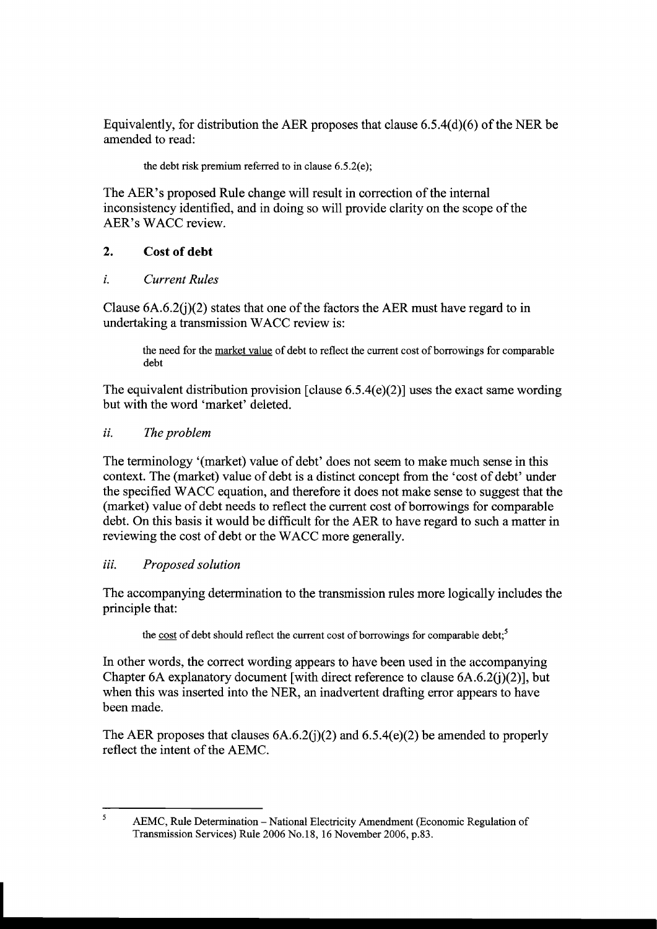Equivalently, for distribution the AER proposes that clause 6.5.4(d)(6) of the NER be amended to read:

the debt risk premium referred to in clause 6.5.2(e);

The AER's proposed Rule change will result in correction of the internal inconsistency identified, and in doing so will provide clarity on the scope of the AER's WACC review.

## **2. Cost of debt**

**z.** *Current Rules* 

Clause  $6A.6.2(i)(2)$  states that one of the factors the AER must have regard to in undertaking a transmission WACC review is:

the need for the market value of debt to reflect the current cost of borrowings for comparable debt

The equivalent distribution provision [clause 6.5.4(e)(2)] uses the exact same wording but with the word 'market' deleted.

## *ii. The problem*

The terminology '(market) value of debt' does not seem to make much sense in this context. The (market) value of debt is a distinct concept from the 'cost of debt' under the specified WACC equation, and therefore it does not make sense to suggest that the (market) value of debt needs to reflect the current cost of borrowings for comparable debt. On this basis it would be difficult for the AER to have regard to such a matter in reviewing the cost of debt or the WACC more generally.

## *iii. Proposed solution*

The accompanying determination to the transmission rules more logically includes the principle that:

the cost of debt should reflect the current cost of borrowings for comparable debt;<sup>5</sup>

In other words, the correct wording appears to have been used in the accompanying Chapter 6A explanatory document [with direct reference to clause 6A.6.2(j)(2)], but when this was inserted into the NER, an inadvertent drafting error appears to have been made.

The AER proposes that clauses  $6A.6.2(i)(2)$  and  $6.5.4(e)(2)$  be amended to properly reflect the intent of the AEMC.

 $\overline{\mathbf{S}}$ AEMC, Rule Determination - National Electricity Amendment (Economic Regulation of Transmission Services) Rule 2006 No.18, 16 November 2006, p.83.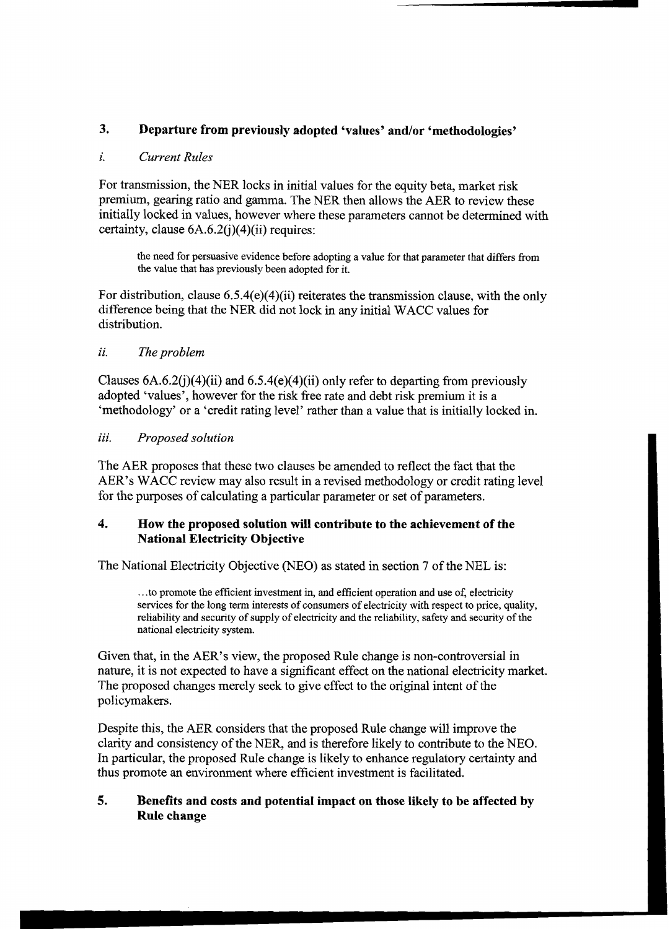## **3. Departure from previously adopted 'values' andlor 'methodologies'**

#### **i.** *Current Rules*

For transmission, the NER locks in initial values for the equity beta, market risk premium, gearing ratio and gamma. The NER then allows the AER to review these initially locked in values, however where these parameters cannot be determined with certainty, clause  $6A.6.2(i)(4)(ii)$  requires:

the need for persuasive evidence before adopting a value for that parameter that differs from the value that has previously been adopted for it.

For distribution, clause 6.5.4(e)(4)(ii) reiterates the transmission clause, with the only difference being that the NER did not lock in any initial WACC values for distribution.

#### **ii.** *The problem*

Clauses  $6A.6.2(i)(4)(ii)$  and  $6.5.4(e)(4)(ii)$  only refer to departing from previously adopted 'values', however for the risk fiee rate and debt risk premium it is a 'methodology' or a 'credit rating level' rather than a value that is initially locked in.

#### **iii.** *Proposed solution*

The AER proposes that these two clauses be amended to reflect the fact that the AER's WACC review may also result in a revised methodology or credit rating level for the purposes of calculating a particular parameter or set of parameters.

#### **4. How the proposed solution will contribute to the achievement of the National Electricity Objective**

The National Electricity Objective (NEO) as stated in section 7 of the NEL is:

... to promote the efficient investment in, and efficient operation and use of, electricity services for the long term interests of consumers of electricity with respect to price, quality, reliability and security of supply of electricity and the reliability, safety and security of the national electricity system.

Given that, in the AER's view, the proposed Rule change is non-controversial in nature, it is not expected to have a significant effect on the national electricity market. The proposed changes merely seek to give effect to the original intent of the policymakers.

Despite this, the AER considers that the proposed Rule change will improve the clarity and consistency of the NER, and is therefore likely to contribute to the NEO. In particular, the proposed Rule change is likely to enhance regulatory certainty and thus promote an environment where efficient investment is facilitated.

#### **5. Benefits and costs and potential impact on those likely to be affected by Rule change**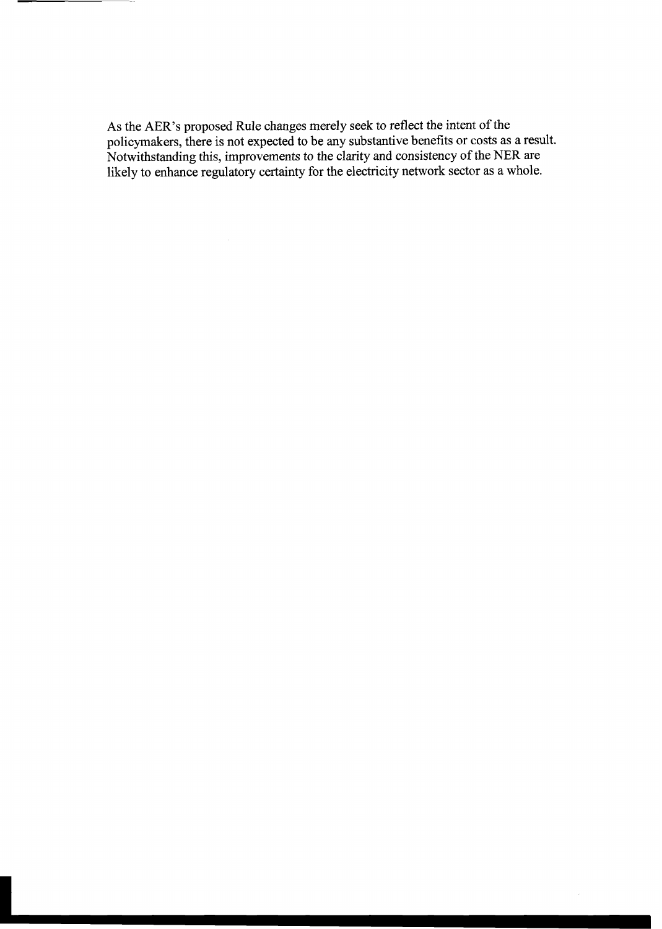As the AER's proposed Rule changes merely seek to reflect the intent of the policymakers, there is not expected to be any substantive benefits or costs as a result. Notwithstanding this, improvements to the clarity and consistency of the NER are likely to enhance regulatory certainty for the electricity network sector as a whole.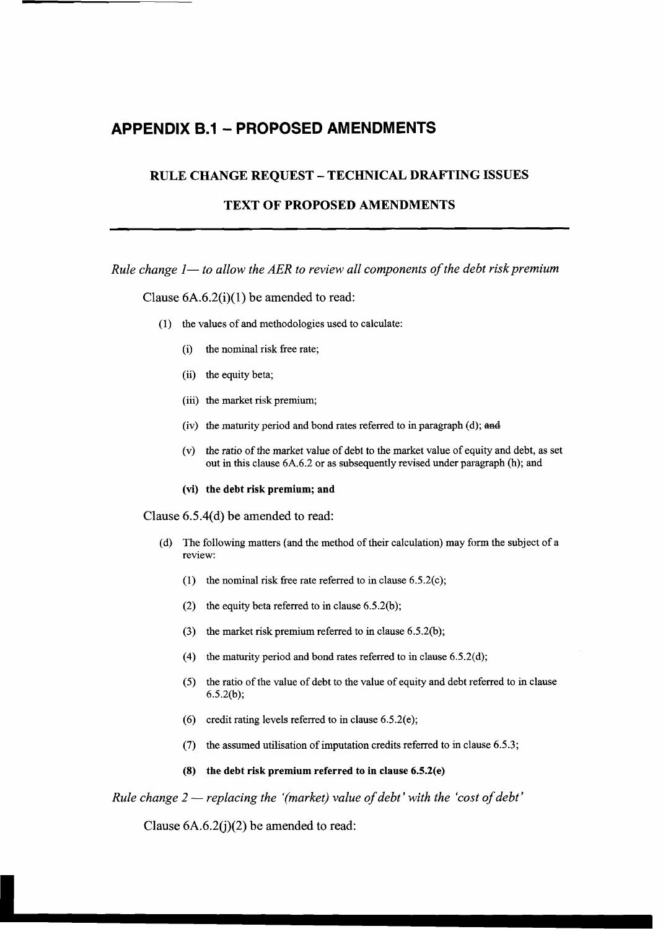# **APPENDIX 6.1** - **PROPOSED AMENDMENTS**

#### **RULE CHANGE REQUEST** - **TECHNICAL DRAFTING ISSUES**

#### **TEXT OF PROPOSED AMENDMENTS**

*Rule change 1— to allow the AER to review all components of the debt risk premium* 

Clause  $6A.6.2(i)(1)$  be amended to read:

- (1) the values of and methodologies used to calculate:
	- (i) the nominal risk free rate;
	- (ii) the equity beta;
	- (iii) the market risk premium;
	- (iv) the maturity period and bond rates referred to in paragraph (d); and
	- (v) the ratio of the market value of debt to the market value of equity and debt, as set out in this clause 6A.6.2 or as subsequently revised under paragraph (h); and
	- **(vi) the debt risk premium; and**

Clause 6.5.4(d) be amended to read:

- (d) The following matters (and the method of their calculation) may form the subject of a review:
	- (1) the nominal risk free rate referred to in clause 6.5.2(c);
	- (2) the equity beta referred to in clause  $6.5.2(b)$ ;
	- **(3)** the market risk premium referred to in clause 6.5.2(b);
	- (4) the maturity period and bond rates referred to in clause  $6.5.2(d)$ ;
	- (5) the ratio of the value of debt to the value of equity and debt referred to in clause 6.5.2(b);
	- (6) credit rating levels referred to in clause 6.5.2(e);
	- (7) the assumed utilisation of imputation credits referred to in clause 6.5.3;
	- **(8) the debt risk premium referred to in clause 6.5.2(e)**

*Rule change 2 — replacing the '(market) value of debt' with the 'cost of debt'* 

Clause  $6A.6.2(j)(2)$  be amended to read: